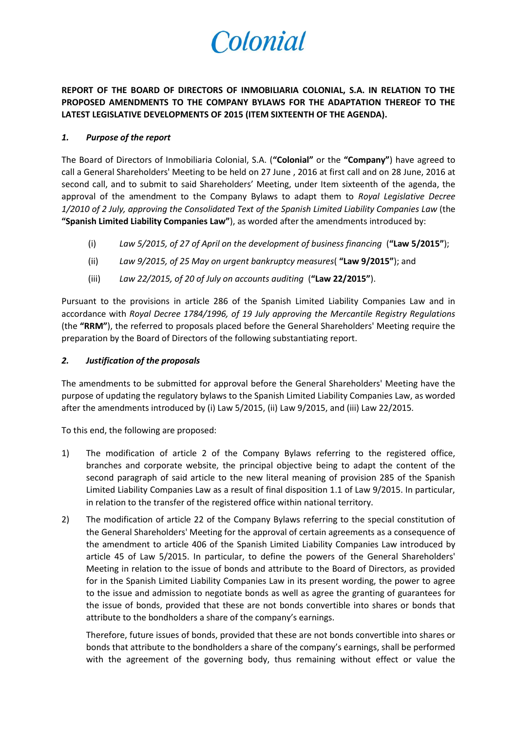# Colonial

**REPORT OF THE BOARD OF DIRECTORS OF INMOBILIARIA COLONIAL, S.A. IN RELATION TO THE PROPOSED AMENDMENTS TO THE COMPANY BYLAWS FOR THE ADAPTATION THEREOF TO THE LATEST LEGISLATIVE DEVELOPMENTS OF 2015 (ITEM SIXTEENTH OF THE AGENDA).**

### *1. Purpose of the report*

The Board of Directors of Inmobiliaria Colonial, S.A. (**"Colonial"** or the **"Company"**) have agreed to call a General Shareholders' Meeting to be held on 27 June , 2016 at first call and on 28 June, 2016 at second call, and to submit to said Shareholders' Meeting, under Item sixteenth of the agenda, the approval of the amendment to the Company Bylaws to adapt them to *Royal Legislative Decree 1/2010 of 2 July, approving the Consolidated Text of the Spanish Limited Liability Companies Law* (the **"Spanish Limited Liability Companies Law"**), as worded after the amendments introduced by:

- (i) *Law 5/2015, of 27 of April on the development of business financing* (**"Law 5/2015"**);
- (ii) *Law 9/2015, of 25 May on urgent bankruptcy measures*( **"Law 9/2015"**); and
- (iii) *Law 22/2015, of 20 of July on accounts auditing* (**"Law 22/2015"**).

Pursuant to the provisions in article 286 of the Spanish Limited Liability Companies Law and in accordance with *Royal Decree 1784/1996, of 19 July approving the Mercantile Registry Regulations* (the **"RRM"**), the referred to proposals placed before the General Shareholders' Meeting require the preparation by the Board of Directors of the following substantiating report.

## *2. Justification of the proposals*

The amendments to be submitted for approval before the General Shareholders' Meeting have the purpose of updating the regulatory bylaws to the Spanish Limited Liability Companies Law, as worded after the amendments introduced by (i) Law 5/2015, (ii) Law 9/2015, and (iii) Law 22/2015*.*

To this end, the following are proposed:

- 1) The modification of article 2 of the Company Bylaws referring to the registered office, branches and corporate website, the principal objective being to adapt the content of the second paragraph of said article to the new literal meaning of provision 285 of the Spanish Limited Liability Companies Law as a result of final disposition 1.1 of Law 9/2015. In particular, in relation to the transfer of the registered office within national territory.
- 2) The modification of article 22 of the Company Bylaws referring to the special constitution of the General Shareholders' Meeting for the approval of certain agreements as a consequence of the amendment to article 406 of the Spanish Limited Liability Companies Law introduced by article 45 of Law 5/2015. In particular, to define the powers of the General Shareholders' Meeting in relation to the issue of bonds and attribute to the Board of Directors, as provided for in the Spanish Limited Liability Companies Law in its present wording, the power to agree to the issue and admission to negotiate bonds as well as agree the granting of guarantees for the issue of bonds, provided that these are not bonds convertible into shares or bonds that attribute to the bondholders a share of the company's earnings.

Therefore, future issues of bonds, provided that these are not bonds convertible into shares or bonds that attribute to the bondholders a share of the company's earnings, shall be performed with the agreement of the governing body, thus remaining without effect or value the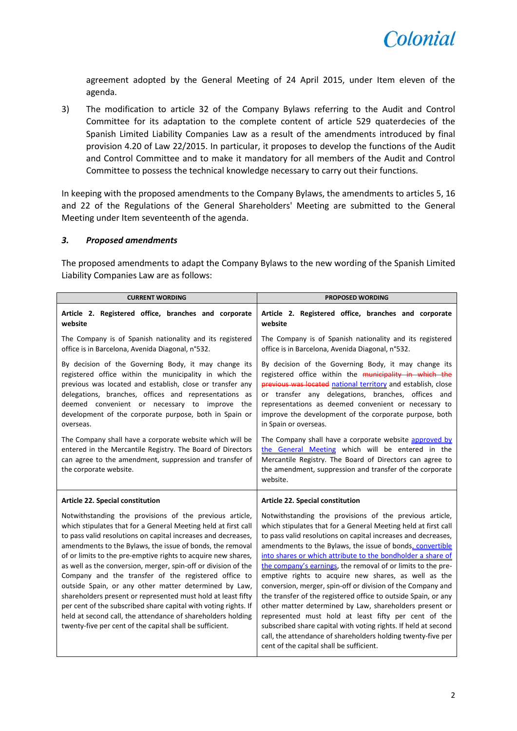

agreement adopted by the General Meeting of 24 April 2015, under Item eleven of the agenda.

3) The modification to article 32 of the Company Bylaws referring to the Audit and Control Committee for its adaptation to the complete content of article 529 quaterdecies of the Spanish Limited Liability Companies Law as a result of the amendments introduced by final provision 4.20 of Law 22/2015. In particular, it proposes to develop the functions of the Audit and Control Committee and to make it mandatory for all members of the Audit and Control Committee to possess the technical knowledge necessary to carry out their functions.

In keeping with the proposed amendments to the Company Bylaws, the amendments to articles 5, 16 and 22 of the Regulations of the General Shareholders' Meeting are submitted to the General Meeting under Item seventeenth of the agenda.

#### *3. Proposed amendments*

The proposed amendments to adapt the Company Bylaws to the new wording of the Spanish Limited Liability Companies Law are as follows:

| <b>CURRENT WORDING</b>                                                                                                                                                                                                                                                                                                                                                                                                                                                                                                                                                                                                                                                                                                                                                    | <b>PROPOSED WORDING</b>                                                                                                                                                                                                                                                                                                                                                                                                                                                                                                                                                                                                                                                                                                                                                                                                                                                          |  |
|---------------------------------------------------------------------------------------------------------------------------------------------------------------------------------------------------------------------------------------------------------------------------------------------------------------------------------------------------------------------------------------------------------------------------------------------------------------------------------------------------------------------------------------------------------------------------------------------------------------------------------------------------------------------------------------------------------------------------------------------------------------------------|----------------------------------------------------------------------------------------------------------------------------------------------------------------------------------------------------------------------------------------------------------------------------------------------------------------------------------------------------------------------------------------------------------------------------------------------------------------------------------------------------------------------------------------------------------------------------------------------------------------------------------------------------------------------------------------------------------------------------------------------------------------------------------------------------------------------------------------------------------------------------------|--|
| Article 2. Registered office, branches and corporate<br>website                                                                                                                                                                                                                                                                                                                                                                                                                                                                                                                                                                                                                                                                                                           | Article 2. Registered office, branches and corporate<br>website                                                                                                                                                                                                                                                                                                                                                                                                                                                                                                                                                                                                                                                                                                                                                                                                                  |  |
| The Company is of Spanish nationality and its registered<br>office is in Barcelona, Avenida Diagonal, n°532.                                                                                                                                                                                                                                                                                                                                                                                                                                                                                                                                                                                                                                                              | The Company is of Spanish nationality and its registered<br>office is in Barcelona, Avenida Diagonal, n°532.                                                                                                                                                                                                                                                                                                                                                                                                                                                                                                                                                                                                                                                                                                                                                                     |  |
| By decision of the Governing Body, it may change its<br>registered office within the municipality in which the<br>previous was located and establish, close or transfer any<br>delegations, branches, offices and representations as<br>deemed convenient or necessary to improve the<br>development of the corporate purpose, both in Spain or<br>overseas.                                                                                                                                                                                                                                                                                                                                                                                                              | By decision of the Governing Body, it may change its<br>registered office within the municipality in which the<br>previous was located national territory and establish, close<br>or transfer any delegations, branches, offices and<br>representations as deemed convenient or necessary to<br>improve the development of the corporate purpose, both<br>in Spain or overseas.                                                                                                                                                                                                                                                                                                                                                                                                                                                                                                  |  |
| The Company shall have a corporate website which will be<br>entered in the Mercantile Registry. The Board of Directors<br>can agree to the amendment, suppression and transfer of<br>the corporate website.                                                                                                                                                                                                                                                                                                                                                                                                                                                                                                                                                               | The Company shall have a corporate website approved by<br>the General Meeting which will be entered in the<br>Mercantile Registry. The Board of Directors can agree to<br>the amendment, suppression and transfer of the corporate<br>website.                                                                                                                                                                                                                                                                                                                                                                                                                                                                                                                                                                                                                                   |  |
| Article 22. Special constitution                                                                                                                                                                                                                                                                                                                                                                                                                                                                                                                                                                                                                                                                                                                                          | <b>Article 22. Special constitution</b>                                                                                                                                                                                                                                                                                                                                                                                                                                                                                                                                                                                                                                                                                                                                                                                                                                          |  |
| Notwithstanding the provisions of the previous article,<br>which stipulates that for a General Meeting held at first call<br>to pass valid resolutions on capital increases and decreases,<br>amendments to the Bylaws, the issue of bonds, the removal<br>of or limits to the pre-emptive rights to acquire new shares,<br>as well as the conversion, merger, spin-off or division of the<br>Company and the transfer of the registered office to<br>outside Spain, or any other matter determined by Law,<br>shareholders present or represented must hold at least fifty<br>per cent of the subscribed share capital with voting rights. If<br>held at second call, the attendance of shareholders holding<br>twenty-five per cent of the capital shall be sufficient. | Notwithstanding the provisions of the previous article,<br>which stipulates that for a General Meeting held at first call<br>to pass valid resolutions on capital increases and decreases,<br>amendments to the Bylaws, the issue of bonds, convertible<br>into shares or which attribute to the bondholder a share of<br>the company's earnings, the removal of or limits to the pre-<br>emptive rights to acquire new shares, as well as the<br>conversion, merger, spin-off or division of the Company and<br>the transfer of the registered office to outside Spain, or any<br>other matter determined by Law, shareholders present or<br>represented must hold at least fifty per cent of the<br>subscribed share capital with voting rights. If held at second<br>call, the attendance of shareholders holding twenty-five per<br>cent of the capital shall be sufficient. |  |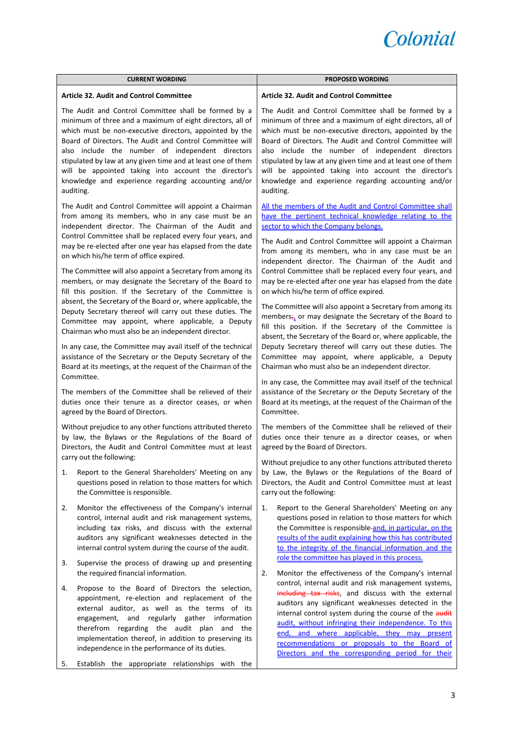

| <b>Article 32. Audit and Control Committee</b><br><b>Article 32. Audit and Control Committee</b><br>The Audit and Control Committee shall be formed by a<br>minimum of three and a maximum of eight directors, all of<br>which must be non-executive directors, appointed by the<br>Board of Directors. The Audit and Control Committee will<br>also include the number of independent directors<br>stipulated by law at any given time and at least one of them<br>will be appointed taking into account the director's<br>knowledge and experience regarding accounting and/or<br>auditing.<br>auditing.<br>The Audit and Control Committee will appoint a Chairman<br>from among its members, who in any case must be an<br>independent director. The Chairman of the Audit and<br>sector to which the Company belongs.<br>Control Committee shall be replaced every four years, and<br>may be re-elected after one year has elapsed from the date<br>on which his/he term of office expired.<br>The Committee will also appoint a Secretary from among its<br>members, or may designate the Secretary of the Board to<br>fill this position. If the Secretary of the Committee is<br>on which his/he term of office expired.<br>absent, the Secretary of the Board or, where applicable, the<br>Deputy Secretary thereof will carry out these duties. The<br>Committee may appoint, where applicable, a Deputy<br>fill this position. If the Secretary of the Committee is<br>Chairman who must also be an independent director.<br>In any case, the Committee may avail itself of the technical<br>assistance of the Secretary or the Deputy Secretary of the<br>Board at its meetings, at the request of the Chairman of the<br>Chairman who must also be an independent director.<br>Committee.<br>In any case, the Committee may avail itself of the technical<br>The members of the Committee shall be relieved of their<br>duties once their tenure as a director ceases, or when<br>Committee.<br>agreed by the Board of Directors.<br>Without prejudice to any other functions attributed thereto<br>by law, the Bylaws or the Regulations of the Board of<br>Directors, the Audit and Control Committee must at least<br>agreed by the Board of Directors.<br>carry out the following:<br>Report to the General Shareholders' Meeting on any<br>1.<br>questions posed in relation to those matters for which<br>the Committee is responsible.<br>carry out the following:<br>2.<br>Monitor the effectiveness of the Company's internal<br>1. | <b>CURRENT WORDING</b>                               | <b>PROPOSED WORDING</b>                                                                                                                                                                                                                                                                                                                                                                                                                                                                                                                                     |
|-----------------------------------------------------------------------------------------------------------------------------------------------------------------------------------------------------------------------------------------------------------------------------------------------------------------------------------------------------------------------------------------------------------------------------------------------------------------------------------------------------------------------------------------------------------------------------------------------------------------------------------------------------------------------------------------------------------------------------------------------------------------------------------------------------------------------------------------------------------------------------------------------------------------------------------------------------------------------------------------------------------------------------------------------------------------------------------------------------------------------------------------------------------------------------------------------------------------------------------------------------------------------------------------------------------------------------------------------------------------------------------------------------------------------------------------------------------------------------------------------------------------------------------------------------------------------------------------------------------------------------------------------------------------------------------------------------------------------------------------------------------------------------------------------------------------------------------------------------------------------------------------------------------------------------------------------------------------------------------------------------------------------------------------------------------------------------------------------------------------------------------------------------------------------------------------------------------------------------------------------------------------------------------------------------------------------------------------------------------------------------------------------------------------------------------------------------------------------------------------------------------------------------------------------------------|------------------------------------------------------|-------------------------------------------------------------------------------------------------------------------------------------------------------------------------------------------------------------------------------------------------------------------------------------------------------------------------------------------------------------------------------------------------------------------------------------------------------------------------------------------------------------------------------------------------------------|
|                                                                                                                                                                                                                                                                                                                                                                                                                                                                                                                                                                                                                                                                                                                                                                                                                                                                                                                                                                                                                                                                                                                                                                                                                                                                                                                                                                                                                                                                                                                                                                                                                                                                                                                                                                                                                                                                                                                                                                                                                                                                                                                                                                                                                                                                                                                                                                                                                                                                                                                                                           |                                                      |                                                                                                                                                                                                                                                                                                                                                                                                                                                                                                                                                             |
|                                                                                                                                                                                                                                                                                                                                                                                                                                                                                                                                                                                                                                                                                                                                                                                                                                                                                                                                                                                                                                                                                                                                                                                                                                                                                                                                                                                                                                                                                                                                                                                                                                                                                                                                                                                                                                                                                                                                                                                                                                                                                                                                                                                                                                                                                                                                                                                                                                                                                                                                                           |                                                      | The Audit and Control Committee shall be formed by a<br>minimum of three and a maximum of eight directors, all of<br>which must be non-executive directors, appointed by the<br>Board of Directors. The Audit and Control Committee will<br>also include the number of independent directors<br>stipulated by law at any given time and at least one of them<br>will be appointed taking into account the director's<br>knowledge and experience regarding accounting and/or                                                                                |
|                                                                                                                                                                                                                                                                                                                                                                                                                                                                                                                                                                                                                                                                                                                                                                                                                                                                                                                                                                                                                                                                                                                                                                                                                                                                                                                                                                                                                                                                                                                                                                                                                                                                                                                                                                                                                                                                                                                                                                                                                                                                                                                                                                                                                                                                                                                                                                                                                                                                                                                                                           |                                                      | All the members of the Audit and Control Committee shall<br>have the pertinent technical knowledge relating to the<br>The Audit and Control Committee will appoint a Chairman<br>from among its members, who in any case must be an<br>independent director. The Chairman of the Audit and<br>Control Committee shall be replaced every four years, and<br>may be re-elected after one year has elapsed from the date<br>The Committee will also appoint a Secretary from among its<br>members <sub>it</sub> or may designate the Secretary of the Board to |
|                                                                                                                                                                                                                                                                                                                                                                                                                                                                                                                                                                                                                                                                                                                                                                                                                                                                                                                                                                                                                                                                                                                                                                                                                                                                                                                                                                                                                                                                                                                                                                                                                                                                                                                                                                                                                                                                                                                                                                                                                                                                                                                                                                                                                                                                                                                                                                                                                                                                                                                                                           |                                                      | absent, the Secretary of the Board or, where applicable, the<br>Deputy Secretary thereof will carry out these duties. The<br>Committee may appoint, where applicable, a Deputy                                                                                                                                                                                                                                                                                                                                                                              |
|                                                                                                                                                                                                                                                                                                                                                                                                                                                                                                                                                                                                                                                                                                                                                                                                                                                                                                                                                                                                                                                                                                                                                                                                                                                                                                                                                                                                                                                                                                                                                                                                                                                                                                                                                                                                                                                                                                                                                                                                                                                                                                                                                                                                                                                                                                                                                                                                                                                                                                                                                           |                                                      | assistance of the Secretary or the Deputy Secretary of the<br>Board at its meetings, at the request of the Chairman of the                                                                                                                                                                                                                                                                                                                                                                                                                                  |
|                                                                                                                                                                                                                                                                                                                                                                                                                                                                                                                                                                                                                                                                                                                                                                                                                                                                                                                                                                                                                                                                                                                                                                                                                                                                                                                                                                                                                                                                                                                                                                                                                                                                                                                                                                                                                                                                                                                                                                                                                                                                                                                                                                                                                                                                                                                                                                                                                                                                                                                                                           |                                                      | The members of the Committee shall be relieved of their<br>duties once their tenure as a director ceases, or when                                                                                                                                                                                                                                                                                                                                                                                                                                           |
|                                                                                                                                                                                                                                                                                                                                                                                                                                                                                                                                                                                                                                                                                                                                                                                                                                                                                                                                                                                                                                                                                                                                                                                                                                                                                                                                                                                                                                                                                                                                                                                                                                                                                                                                                                                                                                                                                                                                                                                                                                                                                                                                                                                                                                                                                                                                                                                                                                                                                                                                                           |                                                      | Without prejudice to any other functions attributed thereto<br>by Law, the Bylaws or the Regulations of the Board of<br>Directors, the Audit and Control Committee must at least                                                                                                                                                                                                                                                                                                                                                                            |
| including tax risks, and discuss with the external<br>auditors any significant weaknesses detected in the<br>internal control system during the course of the audit.<br>role the committee has played in this process.                                                                                                                                                                                                                                                                                                                                                                                                                                                                                                                                                                                                                                                                                                                                                                                                                                                                                                                                                                                                                                                                                                                                                                                                                                                                                                                                                                                                                                                                                                                                                                                                                                                                                                                                                                                                                                                                                                                                                                                                                                                                                                                                                                                                                                                                                                                                    | control, internal audit and risk management systems, | Report to the General Shareholders' Meeting on any<br>questions posed in relation to those matters for which<br>the Committee is responsible-and, in particular, on the<br>results of the audit explaining how this has contributed<br>to the integrity of the financial information and the                                                                                                                                                                                                                                                                |
| Supervise the process of drawing up and presenting<br>3.<br>the required financial information.<br>2.                                                                                                                                                                                                                                                                                                                                                                                                                                                                                                                                                                                                                                                                                                                                                                                                                                                                                                                                                                                                                                                                                                                                                                                                                                                                                                                                                                                                                                                                                                                                                                                                                                                                                                                                                                                                                                                                                                                                                                                                                                                                                                                                                                                                                                                                                                                                                                                                                                                     |                                                      | Monitor the effectiveness of the Company's internal                                                                                                                                                                                                                                                                                                                                                                                                                                                                                                         |
| Propose to the Board of Directors the selection,<br>4.<br>appointment, re-election and replacement of the<br>external auditor, as well as the terms of its<br>engagement, and regularly gather information<br>therefrom regarding the audit plan and the<br>implementation thereof, in addition to preserving its<br>independence in the performance of its duties.<br>Establish the appropriate relationships with the<br>5.                                                                                                                                                                                                                                                                                                                                                                                                                                                                                                                                                                                                                                                                                                                                                                                                                                                                                                                                                                                                                                                                                                                                                                                                                                                                                                                                                                                                                                                                                                                                                                                                                                                                                                                                                                                                                                                                                                                                                                                                                                                                                                                             |                                                      | control, internal audit and risk management systems,<br>including tax risks, and discuss with the external<br>auditors any significant weaknesses detected in the<br>internal control system during the course of the audit<br>audit, without infringing their independence. To this<br>end, and where applicable, they may present<br>recommendations or proposals to the Board of<br>Directors and the corresponding period for their                                                                                                                     |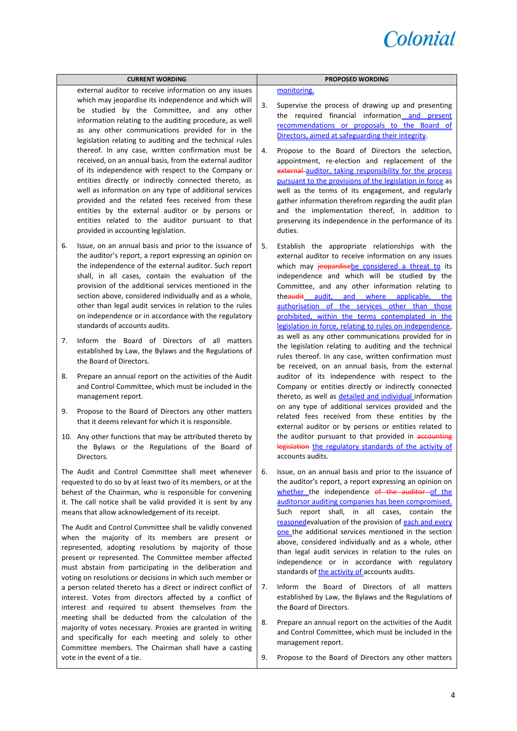

|                                                                                                                                                                                                                                                                                                                                                                                                                                                                                                                                              | <b>CURRENT WORDING</b>                                                                                                                                                                                                                                                                                                                                                                                                                                                                                   |    | <b>PROPOSED WORDING</b>                                                                                                                                                                                                                                                                                                                                                                                                                                                            |
|----------------------------------------------------------------------------------------------------------------------------------------------------------------------------------------------------------------------------------------------------------------------------------------------------------------------------------------------------------------------------------------------------------------------------------------------------------------------------------------------------------------------------------------------|----------------------------------------------------------------------------------------------------------------------------------------------------------------------------------------------------------------------------------------------------------------------------------------------------------------------------------------------------------------------------------------------------------------------------------------------------------------------------------------------------------|----|------------------------------------------------------------------------------------------------------------------------------------------------------------------------------------------------------------------------------------------------------------------------------------------------------------------------------------------------------------------------------------------------------------------------------------------------------------------------------------|
|                                                                                                                                                                                                                                                                                                                                                                                                                                                                                                                                              | external auditor to receive information on any issues<br>which may jeopardise its independence and which will                                                                                                                                                                                                                                                                                                                                                                                            |    | monitoring.                                                                                                                                                                                                                                                                                                                                                                                                                                                                        |
|                                                                                                                                                                                                                                                                                                                                                                                                                                                                                                                                              | be studied by the Committee, and any other<br>information relating to the auditing procedure, as well<br>as any other communications provided for in the<br>legislation relating to auditing and the technical rules                                                                                                                                                                                                                                                                                     | 3. | Supervise the process of drawing up and presenting<br>the required financial information and present<br>recommendations or proposals to the Board of<br>Directors, aimed at safeguarding their integrity.                                                                                                                                                                                                                                                                          |
|                                                                                                                                                                                                                                                                                                                                                                                                                                                                                                                                              | thereof. In any case, written confirmation must be<br>received, on an annual basis, from the external auditor<br>of its independence with respect to the Company or<br>entities directly or indirectly connected thereto, as<br>well as information on any type of additional services<br>provided and the related fees received from these<br>entities by the external auditor or by persons or<br>entities related to the auditor pursuant to that<br>provided in accounting legislation.              | 4. | Propose to the Board of Directors the selection,<br>appointment, re-election and replacement of the<br>external auditor, taking responsibility for the process<br>pursuant to the provisions of the legislation in force as<br>well as the terms of its engagement, and regularly<br>gather information therefrom regarding the audit plan<br>and the implementation thereof, in addition to<br>preserving its independence in the performance of its<br>duties.                   |
| 6.                                                                                                                                                                                                                                                                                                                                                                                                                                                                                                                                           | Issue, on an annual basis and prior to the issuance of<br>the auditor's report, a report expressing an opinion on<br>the independence of the external auditor. Such report<br>shall, in all cases, contain the evaluation of the<br>provision of the additional services mentioned in the<br>section above, considered individually and as a whole,<br>other than legal audit services in relation to the rules<br>on independence or in accordance with the regulatory<br>standards of accounts audits. | 5. | Establish the appropriate relationships with the<br>external auditor to receive information on any issues<br>which may jeopardisebe considered a threat to its<br>independence and which will be studied by the<br>Committee, and any other information relating to<br>theaudit audit, and where applicable, the<br>authorisation of the services other than those<br>prohibited, within the terms contemplated in the<br>legislation in force, relating to rules on independence, |
| 7.                                                                                                                                                                                                                                                                                                                                                                                                                                                                                                                                           | Inform the Board of Directors of all matters<br>established by Law, the Bylaws and the Regulations of<br>the Board of Directors.                                                                                                                                                                                                                                                                                                                                                                         |    | as well as any other communications provided for in<br>the legislation relating to auditing and the technical<br>rules thereof. In any case, written confirmation must<br>be received, on an annual basis, from the external                                                                                                                                                                                                                                                       |
| 8.                                                                                                                                                                                                                                                                                                                                                                                                                                                                                                                                           | Prepare an annual report on the activities of the Audit<br>and Control Committee, which must be included in the<br>management report.                                                                                                                                                                                                                                                                                                                                                                    |    | auditor of its independence with respect to the<br>Company or entities directly or indirectly connected<br>thereto, as well as detailed and individual information                                                                                                                                                                                                                                                                                                                 |
| 9.                                                                                                                                                                                                                                                                                                                                                                                                                                                                                                                                           | Propose to the Board of Directors any other matters<br>that it deems relevant for which it is responsible.                                                                                                                                                                                                                                                                                                                                                                                               |    | on any type of additional services provided and the<br>related fees received from these entities by the<br>external auditor or by persons or entities related to                                                                                                                                                                                                                                                                                                                   |
|                                                                                                                                                                                                                                                                                                                                                                                                                                                                                                                                              | 10. Any other functions that may be attributed thereto by<br>the Bylaws or the Regulations of the Board of<br>Directors.                                                                                                                                                                                                                                                                                                                                                                                 |    | the auditor pursuant to that provided in accounting<br>legislation the regulatory standards of the activity of<br>accounts audits.                                                                                                                                                                                                                                                                                                                                                 |
|                                                                                                                                                                                                                                                                                                                                                                                                                                                                                                                                              | The Audit and Control Committee shall meet whenever<br>requested to do so by at least two of its members, or at the<br>behest of the Chairman, who is responsible for convening<br>it. The call notice shall be valid provided it is sent by any<br>means that allow acknowledgement of its receipt.                                                                                                                                                                                                     | 6. | Issue, on an annual basis and prior to the issuance of<br>the auditor's report, a report expressing an opinion on<br>whether the independence of the auditor of the<br>auditorsor auditing companies has been compromised.<br>Such report shall, in all cases, contain<br>the                                                                                                                                                                                                      |
| The Audit and Control Committee shall be validly convened<br>when the majority of its members are present or<br>represented, adopting resolutions by majority of those<br>present or represented. The Committee member affected<br>must abstain from participating in the deliberation and<br>voting on resolutions or decisions in which such member or<br>a person related thereto has a direct or indirect conflict of<br>interest. Votes from directors affected by a conflict of<br>interest and required to absent themselves from the |                                                                                                                                                                                                                                                                                                                                                                                                                                                                                                          |    | reasoned evaluation of the provision of each and every<br>one the additional services mentioned in the section<br>above, considered individually and as a whole, other<br>than legal audit services in relation to the rules on<br>independence or in accordance with regulatory<br>standards of the activity of accounts audits.                                                                                                                                                  |
|                                                                                                                                                                                                                                                                                                                                                                                                                                                                                                                                              |                                                                                                                                                                                                                                                                                                                                                                                                                                                                                                          | 7. | Inform the Board of Directors of all matters<br>established by Law, the Bylaws and the Regulations of<br>the Board of Directors.                                                                                                                                                                                                                                                                                                                                                   |
|                                                                                                                                                                                                                                                                                                                                                                                                                                                                                                                                              | meeting shall be deducted from the calculation of the<br>majority of votes necessary. Proxies are granted in writing<br>and specifically for each meeting and solely to other<br>Committee members. The Chairman shall have a casting                                                                                                                                                                                                                                                                    | 8. | Prepare an annual report on the activities of the Audit<br>and Control Committee, which must be included in the<br>management report.                                                                                                                                                                                                                                                                                                                                              |
|                                                                                                                                                                                                                                                                                                                                                                                                                                                                                                                                              | vote in the event of a tie.                                                                                                                                                                                                                                                                                                                                                                                                                                                                              | 9. | Propose to the Board of Directors any other matters                                                                                                                                                                                                                                                                                                                                                                                                                                |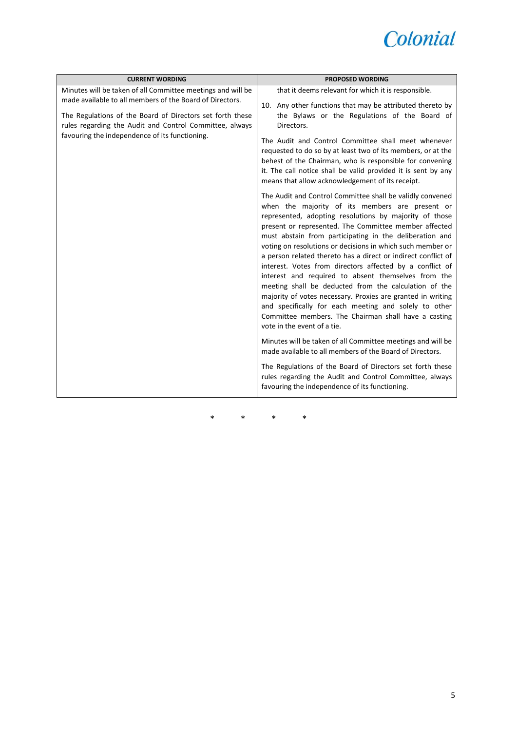

| <b>CURRENT WORDING</b>                                                                                                                                                                                                                                                                            | <b>PROPOSED WORDING</b>                                                                                                                                                                                                                                                                                                                                                                                                                                                                                                                                                                                                                                                                                                                                                                                                                                                                                                                                                                                                                                                                                                                                                                                                                                                                                                                                                                                                                                                                                                                                                                                              |
|---------------------------------------------------------------------------------------------------------------------------------------------------------------------------------------------------------------------------------------------------------------------------------------------------|----------------------------------------------------------------------------------------------------------------------------------------------------------------------------------------------------------------------------------------------------------------------------------------------------------------------------------------------------------------------------------------------------------------------------------------------------------------------------------------------------------------------------------------------------------------------------------------------------------------------------------------------------------------------------------------------------------------------------------------------------------------------------------------------------------------------------------------------------------------------------------------------------------------------------------------------------------------------------------------------------------------------------------------------------------------------------------------------------------------------------------------------------------------------------------------------------------------------------------------------------------------------------------------------------------------------------------------------------------------------------------------------------------------------------------------------------------------------------------------------------------------------------------------------------------------------------------------------------------------------|
| Minutes will be taken of all Committee meetings and will be<br>made available to all members of the Board of Directors.<br>The Regulations of the Board of Directors set forth these<br>rules regarding the Audit and Control Committee, always<br>favouring the independence of its functioning. | that it deems relevant for which it is responsible.<br>10. Any other functions that may be attributed thereto by<br>the Bylaws or the Regulations of the Board of<br>Directors.<br>The Audit and Control Committee shall meet whenever<br>requested to do so by at least two of its members, or at the<br>behest of the Chairman, who is responsible for convening<br>it. The call notice shall be valid provided it is sent by any<br>means that allow acknowledgement of its receipt.<br>The Audit and Control Committee shall be validly convened<br>when the majority of its members are present or<br>represented, adopting resolutions by majority of those<br>present or represented. The Committee member affected<br>must abstain from participating in the deliberation and<br>voting on resolutions or decisions in which such member or<br>a person related thereto has a direct or indirect conflict of<br>interest. Votes from directors affected by a conflict of<br>interest and required to absent themselves from the<br>meeting shall be deducted from the calculation of the<br>majority of votes necessary. Proxies are granted in writing<br>and specifically for each meeting and solely to other<br>Committee members. The Chairman shall have a casting<br>vote in the event of a tie.<br>Minutes will be taken of all Committee meetings and will be<br>made available to all members of the Board of Directors.<br>The Regulations of the Board of Directors set forth these<br>rules regarding the Audit and Control Committee, always<br>favouring the independence of its functioning. |

\* \* \* \*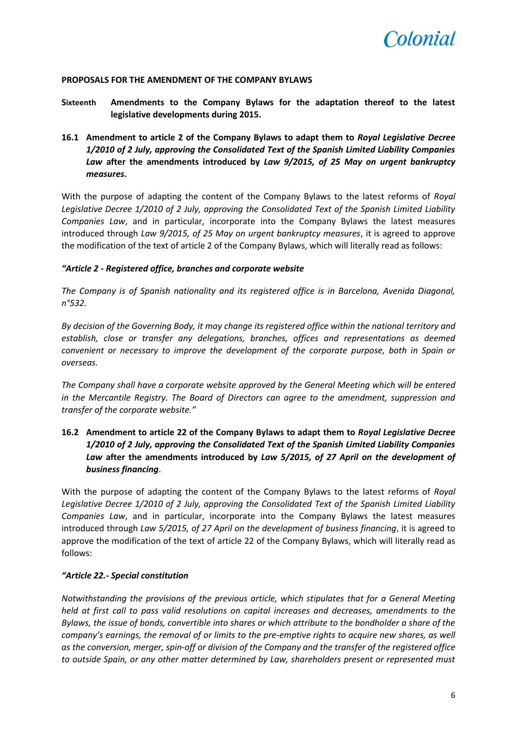

#### **PROPOSALS FOR THE AMENDMENT OF THE COMPANY BYLAWS**

- **Sixteenth Amendments to the Company Bylaws for the adaptation thereof to the latest legislative developments during 2015.**
- **16.1 Amendment to article 2 of the Company Bylaws to adapt them to** *Royal Legislative Decree 1/2010 of 2 July, approving the Consolidated Text of the Spanish Limited Liability Companies Law* **after the amendments introduced by** *Law 9/2015, of 25 May on urgent bankruptcy measures***.**

With the purpose of adapting the content of the Company Bylaws to the latest reforms of *Royal Legislative Decree 1/2010 of 2 July, approving the Consolidated Text of the Spanish Limited Liability Companies Law*, and in particular, incorporate into the Company Bylaws the latest measures introduced through *Law 9/2015, of 25 May on urgent bankruptcy measures*, it is agreed to approve the modification of the text of article 2 of the Company Bylaws, which will literally read as follows:

#### *"Article 2 - Registered office, branches and corporate website*

*The Company is of Spanish nationality and its registered office is in Barcelona, Avenida Diagonal, n°532.*

*By decision of the Governing Body, it may change its registered office within the national territory and establish, close or transfer any delegations, branches, offices and representations as deemed convenient or necessary to improve the development of the corporate purpose, both in Spain or overseas.*

*The Company shall have a corporate website approved by the General Meeting which will be entered in the Mercantile Registry. The Board of Directors can agree to the amendment, suppression and transfer of the corporate website."*

# **16.2 Amendment to article 22 of the Company Bylaws to adapt them to** *Royal Legislative Decree 1/2010 of 2 July, approving the Consolidated Text of the Spanish Limited Liability Companies Law* **after the amendments introduced by** *Law 5/2015, of 27 April on the development of business financing*.

With the purpose of adapting the content of the Company Bylaws to the latest reforms of *Royal Legislative Decree 1/2010 of 2 July, approving the Consolidated Text of the Spanish Limited Liability Companies Law*, and in particular, incorporate into the Company Bylaws the latest measures introduced through *Law 5/2015, of 27 April on the development of business financing*, it is agreed to approve the modification of the text of article 22 of the Company Bylaws, which will literally read as follows:

#### *"Article 22.- Special constitution*

*Notwithstanding the provisions of the previous article, which stipulates that for a General Meeting held at first call to pass valid resolutions on capital increases and decreases, amendments to the Bylaws, the issue of bonds, convertible into shares or which attribute to the bondholder a share of the company's earnings, the removal of or limits to the pre-emptive rights to acquire new shares, as well as the conversion, merger, spin-off or division of the Company and the transfer of the registered office to outside Spain, or any other matter determined by Law, shareholders present or represented must*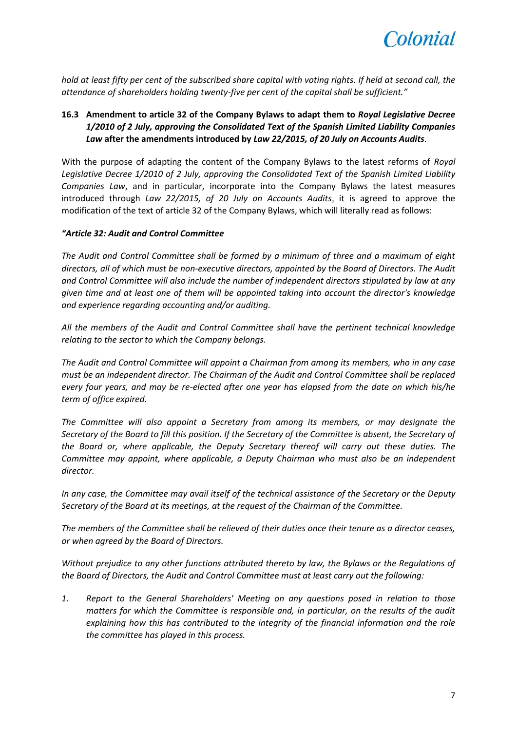

*hold at least fifty per cent of the subscribed share capital with voting rights. If held at second call, the attendance of shareholders holding twenty-five per cent of the capital shall be sufficient."*

# **16.3 Amendment to article 32 of the Company Bylaws to adapt them to** *Royal Legislative Decree 1/2010 of 2 July, approving the Consolidated Text of the Spanish Limited Liability Companies Law* **after the amendments introduced by** *Law 22/2015, of 20 July on Accounts Audits*.

With the purpose of adapting the content of the Company Bylaws to the latest reforms of *Royal Legislative Decree 1/2010 of 2 July, approving the Consolidated Text of the Spanish Limited Liability Companies Law*, and in particular, incorporate into the Company Bylaws the latest measures introduced through *Law 22/2015, of 20 July on Accounts Audits*, it is agreed to approve the modification of the text of article 32 of the Company Bylaws, which will literally read as follows:

#### *"Article 32: Audit and Control Committee*

*The Audit and Control Committee shall be formed by a minimum of three and a maximum of eight directors, all of which must be non-executive directors, appointed by the Board of Directors. The Audit and Control Committee will also include the number of independent directors stipulated by law at any given time and at least one of them will be appointed taking into account the director's knowledge and experience regarding accounting and/or auditing.*

*All the members of the Audit and Control Committee shall have the pertinent technical knowledge relating to the sector to which the Company belongs.*

*The Audit and Control Committee will appoint a Chairman from among its members, who in any case must be an independent director. The Chairman of the Audit and Control Committee shall be replaced every four years, and may be re-elected after one year has elapsed from the date on which his/he term of office expired.*

*The Committee will also appoint a Secretary from among its members, or may designate the Secretary of the Board to fill this position. If the Secretary of the Committee is absent, the Secretary of the Board or, where applicable, the Deputy Secretary thereof will carry out these duties. The Committee may appoint, where applicable, a Deputy Chairman who must also be an independent director.*

*In any case, the Committee may avail itself of the technical assistance of the Secretary or the Deputy Secretary of the Board at its meetings, at the request of the Chairman of the Committee.*

*The members of the Committee shall be relieved of their duties once their tenure as a director ceases, or when agreed by the Board of Directors.*

*Without prejudice to any other functions attributed thereto by law, the Bylaws or the Regulations of the Board of Directors, the Audit and Control Committee must at least carry out the following:*

*1. Report to the General Shareholders' Meeting on any questions posed in relation to those matters for which the Committee is responsible and, in particular, on the results of the audit explaining how this has contributed to the integrity of the financial information and the role the committee has played in this process.*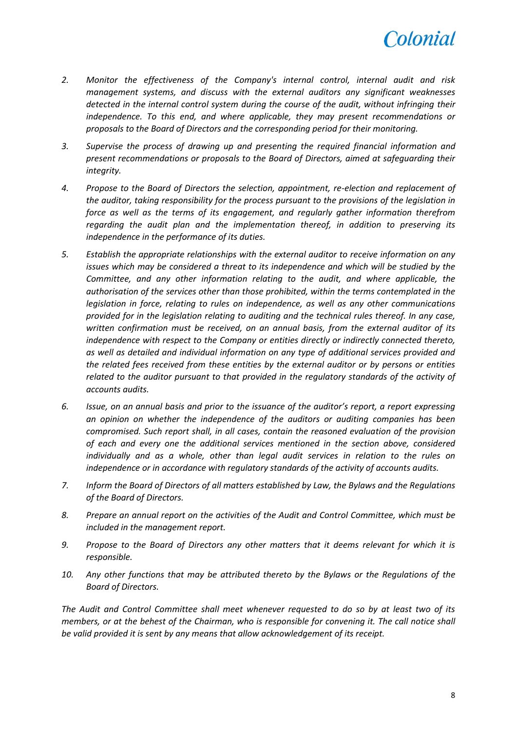

- *2. Monitor the effectiveness of the Company's internal control, internal audit and risk management systems, and discuss with the external auditors any significant weaknesses detected in the internal control system during the course of the audit, without infringing their independence. To this end, and where applicable, they may present recommendations or proposals to the Board of Directors and the corresponding period for their monitoring.*
- *3. Supervise the process of drawing up and presenting the required financial information and present recommendations or proposals to the Board of Directors, aimed at safeguarding their integrity.*
- *4. Propose to the Board of Directors the selection, appointment, re-election and replacement of the auditor, taking responsibility for the process pursuant to the provisions of the legislation in force as well as the terms of its engagement, and regularly gather information therefrom regarding the audit plan and the implementation thereof, in addition to preserving its independence in the performance of its duties.*
- *5. Establish the appropriate relationships with the external auditor to receive information on any issues which may be considered a threat to its independence and which will be studied by the Committee, and any other information relating to the audit, and where applicable, the authorisation of the services other than those prohibited, within the terms contemplated in the legislation in force, relating to rules on independence, as well as any other communications provided for in the legislation relating to auditing and the technical rules thereof. In any case, written confirmation must be received, on an annual basis, from the external auditor of its independence with respect to the Company or entities directly or indirectly connected thereto, as well as detailed and individual information on any type of additional services provided and the related fees received from these entities by the external auditor or by persons or entities related to the auditor pursuant to that provided in the regulatory standards of the activity of accounts audits.*
- *6. Issue, on an annual basis and prior to the issuance of the auditor's report, a report expressing an opinion on whether the independence of the auditors or auditing companies has been compromised. Such report shall, in all cases, contain the reasoned evaluation of the provision of each and every one the additional services mentioned in the section above, considered individually and as a whole, other than legal audit services in relation to the rules on independence or in accordance with regulatory standards of the activity of accounts audits.*
- *7. Inform the Board of Directors of all matters established by Law, the Bylaws and the Regulations of the Board of Directors.*
- *8. Prepare an annual report on the activities of the Audit and Control Committee, which must be included in the management report.*
- *9. Propose to the Board of Directors any other matters that it deems relevant for which it is responsible.*
- *10. Any other functions that may be attributed thereto by the Bylaws or the Regulations of the Board of Directors.*

*The Audit and Control Committee shall meet whenever requested to do so by at least two of its members, or at the behest of the Chairman, who is responsible for convening it. The call notice shall be valid provided it is sent by any means that allow acknowledgement of its receipt.*